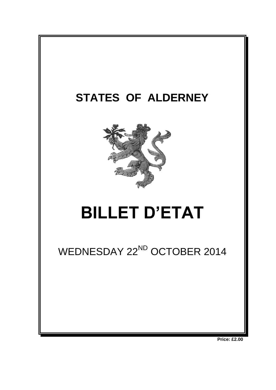

**Price: £2.00**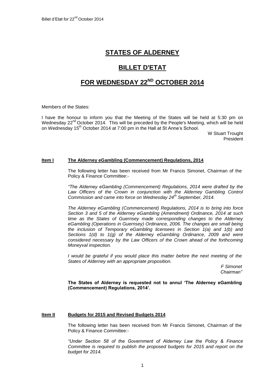# **STATES OF ALDERNEY**

# **BILLET D'ETAT**

# **FOR WEDNESDAY 22ND OCTOBER 2014**

Members of the States:

I have the honour to inform you that the Meeting of the States will be held at 5:30 pm on Wednesday 22<sup>nd</sup> October 2014. This will be preceded by the People's Meeting, which will be held on Wednesday 15<sup>th</sup> October 2014 at 7:00 pm in the Hall at St Anne's School.

> W Stuart Trought President

## **Item I The Alderney eGambling (Commencement) Regulations, 2014**

The following letter has been received from Mr Francis Simonet, Chairman of the Policy & Finance Committee:-

*"The Alderney eGambling (Commencement) Regulations, 2014 were drafted by the*  Law Officers of the Crown in conjunction with the Alderney Gambling Control *Commission and came into force on Wednesday 24th September, 2014.*

*The Alderney eGambling (Commencement) Regulations, 2014 is to bring into force Section 3 and 5 of the Alderney eGambling (Amendment) Ordinance, 2014 at such time as the States of Guernsey made corresponding changes to the Alderney eGambling (Operations in Guernsey) Ordinance, 2006. The changes are small being the inclusion of Temporary eGambling licensees in Section 1(a) and 1(b) and Sections 1(d) to 1(g) of the Alderney eGambling Ordinance, 2009 and were considered necessary by the Law Officers of the Crown ahead of the forthcoming Moneyval inspection.*

*I would be grateful if you would place this matter before the next meeting of the States of Alderney with an appropriate proposition.*

> *F Simonet Chairman"*

**The States of Alderney is requested not to annul 'The Alderney eGambling (Commencement) Regulations, 2014'.**

# **Item II Budgets for 2015 and Revised Budgets 2014**

The following letter has been received from Mr Francis Simonet, Chairman of the Policy & Finance Committee:-

*"Under Section 58 of the Government of Alderney Law the Policy & Finance Committee is required to publish the proposed budgets for 2015 and report on the budget for 2014.*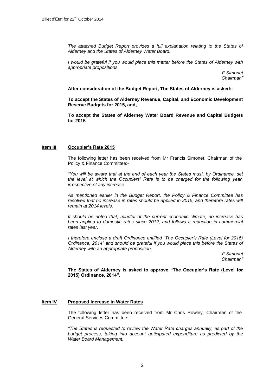*The attached Budget Report provides a full explanation relating to the States of Alderney and the States of Alderney Water Board.*

*I* would be grateful if you would place this matter before the States of Alderney with *appropriate propositions.*

> *F Simonet Chairman"*

#### **After consideration of the Budget Report, The States of Alderney is asked:-**

**To accept the States of Alderney Revenue, Capital, and Economic Development Reserve Budgets for 2015, and,** 

**To accept the States of Alderney Water Board Revenue and Capital Budgets for 2015**

#### **Item III Occupier's Rate 2015**

The following letter has been received from Mr Francis Simonet, Chairman of the Policy & Finance Committee:-

*"You will be aware that at the end of each year the States must, by Ordinance, set the level at which the Occupiers' Rate is to be charged for the following year, irrespective of any increase.* 

*As mentioned earlier in the Budget Report, the Policy & Finance Committee has*  resolved that no increase in rates should be applied in 2015, and therefore rates will *remain at 2014 levels.* 

*It should be noted that, mindful of the current economic climate, no increase has been applied to domestic rates since 2012, and follows a reduction in commercial rates last year.* 

*I therefore enclose a draft Ordinance entitled "The Occupier's Rate (Level for 2015) Ordinance, 2014" and should be grateful if you would place this before the States of Alderney with an appropriate proposition.*

*F Simonet Chairman"*

**The States of Alderney is asked to approve "The Occupier's Rate (Level for 2015) Ordinance, 2014".**

# **Item IV Proposed Increase in Water Rates**

The following letter has been received from Mr Chris Rowley, Chairman of the General Services Committee:-

*"The States is requested to review the Water Rate charges annually, as part of the budget process, taking into account anticipated expenditure as predicted by the Water Board Management.*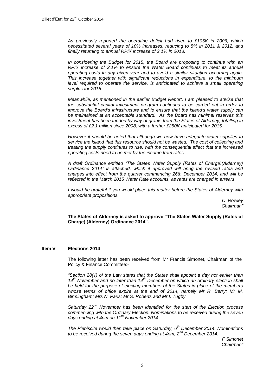*As previously reported the operating deficit had risen to £105K in 2006, which necessitated several years of 10% increases, reducing to 5% in 2011 & 2012, and finally returning to annual RPIX increase of 2.1% in 2013.* 

*In considering the Budget for 2015, the Board are proposing to continue with an RPIX increase of 2.1% to ensure the Water Board continues to meet its annual operating costs in any given year and to avoid a similar situation occurring again. This increase together with significant reductions in expenditure, to the minimum level required to operate the service, is anticipated to achieve a small operating surplus for 2015.*

*Meanwhile, as mentioned in the earlier Budget Report, I am pleased to advise that the substantial capital investment program continues to be carried out in order to improve the Board's infrastructure and to ensure that the island's water supply can be maintained at an acceptable standard. As the Board has minimal reserves this investment has been funded by way of grants from the States of Alderney, totalling in excess of £2.1 million since 2008, with a further £250K anticipated for 2015.* 

*However it should be noted that although we now have adequate water supplies to service the Island that this resource should not be wasted. The cost of collecting and treating the supply continues to rise, with the consequential effect that the increased operating costs need to be met by the income from rates.* 

*A draft Ordinance entitled "The States Water Supply (Rates of Charge)(Alderney) Ordinance 2014" is attached, which if approved will bring the revised rates and charges into effect from the quarter commencing 26th December 2014, and will be reflected in the March 2015 Water Rate accounts, as rates are charged in arrears.*

*I* would be grateful if you would place this matter before the States of Alderney with *appropriate propositions.*

> *C Rowley Chairman"*

**The States of Alderney is asked to approve "The States Water Supply (Rates of Charge) (Alderney) Ordinance 2014".**

# **Item V Elections 2014**

The following letter has been received from Mr Francis Simonet, Chairman of the Policy & Finance Committee:-

*"Section 28(1) of the Law states that the States shall appoint a day not earlier than 14th November and no later than 14th December on which an ordinary election shall be held for the purpose of electing members of the States in place of the members whose terms of office expire at the end of 2014, namely Mr R. Berry; Mr M. Birmingham; Mrs N. Paris; Mr S. Roberts and Mr I. Tugby.*

*Saturday 22nd November has been identified for the start of the Election process commencing with the Ordinary Election. Nominations to be received during the seven days ending at 4pm on 11th November 2014.* 

*The Plebiscite would then take place on Saturday, 6th December 2014. Nominations to be received during the seven days ending at 4pm, 2nd December 2014.*

> *F Simonet Chairman"*